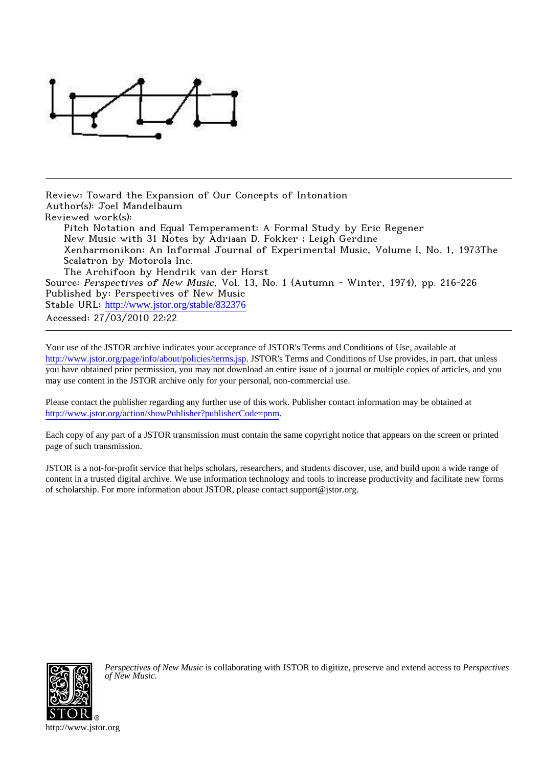

Review: Toward the Expansion of Our Concepts of Intonation Author(s): Joel Mandelbaum Reviewed work(s): Pitch Notation and Equal Temperament: A Formal Study by Eric Regener New Music with 31 Notes by Adriaan D. Fokker ; Leigh Gerdine Xenharmonikon: An Informal Journal of Experimental Music, Volume I, No. 1, 1973The Scalatron by Motorola Inc. The Archifoon by Hendrik van der Horst Source: Perspectives of New Music, Vol. 13, No. 1 (Autumn - Winter, 1974), pp. 216-226 Published by: Perspectives of New Music Stable URL: [http://www.jstor.org/stable/832376](http://www.jstor.org/stable/832376?origin=JSTOR-pdf)

Accessed: 27/03/2010 22:22

Your use of the JSTOR archive indicates your acceptance of JSTOR's Terms and Conditions of Use, available at <http://www.jstor.org/page/info/about/policies/terms.jsp>. JSTOR's Terms and Conditions of Use provides, in part, that unless you have obtained prior permission, you may not download an entire issue of a journal or multiple copies of articles, and you may use content in the JSTOR archive only for your personal, non-commercial use.

Please contact the publisher regarding any further use of this work. Publisher contact information may be obtained at [http://www.jstor.org/action/showPublisher?publisherCode=pnm.](http://www.jstor.org/action/showPublisher?publisherCode=pnm)

Each copy of any part of a JSTOR transmission must contain the same copyright notice that appears on the screen or printed page of such transmission.

JSTOR is a not-for-profit service that helps scholars, researchers, and students discover, use, and build upon a wide range of content in a trusted digital archive. We use information technology and tools to increase productivity and facilitate new forms of scholarship. For more information about JSTOR, please contact support@jstor.org.



*Perspectives of New Music* is collaborating with JSTOR to digitize, preserve and extend access to *Perspectives of New Music.*

http://www.jstor.org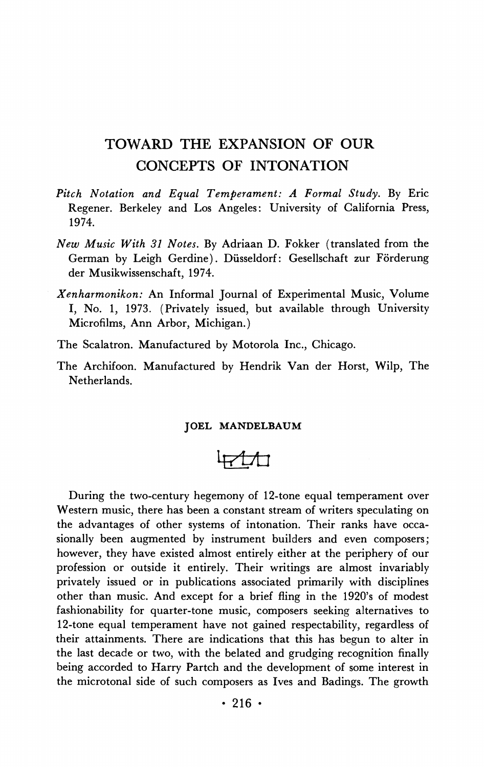# **TOWARD THE EXPANSION OF OUR CONCEPTS OF INTONATION**

- **Pitch Notation and Equal Temperament: A Formal Study. By Eric Regener. Berkeley and Los Angeles: University of California Press, 1974.**
- **New Music With 31 Notes. By Adriaan D. Fokker (translated from the**  German by Leigh Gerdine). Düsseldorf: Gesellschaft zur Förderung **der Musikwissenschaft, 1974.**
- **Xenharmonikon: An Informal Journal of Experimental Music, Volume I, No. 1, 1973. (Privately issued, but available through University Microfilms, Ann Arbor, Michigan.)**
- **The Scalatron. Manufactured by Motorola Inc., Chicago.**
- **The Archifoon. Manufactured by Hendrik Van der Horst, Wilp, The Netherlands.**

#### **JOEL MANDELBAUM**

$$
\frac{1}{2}
$$

**During the two-century hegemony of 12-tone equal temperament over Western music, there has been a constant stream of writers speculating on the advantages of other systems of intonation. Their ranks have occasionally been augmented by instrument builders and even composers; however, they have existed almost entirely either at the periphery of our profession or outside it entirely. Their writings are almost invariably privately issued or in publications associated primarily with disciplines other than music. And except for a brief fling in the 1920's of modest fashionability for quarter-tone music, composers seeking alternatives to 12-tone equal temperament have not gained respectability, regardless of their attainments. There are indications that this has begun to alter in the last decade or two, with the belated and grudging recognition finally being accorded to Harry Partch and the development of some interest in the microtonal side of such composers as Ives and Badings. The growth**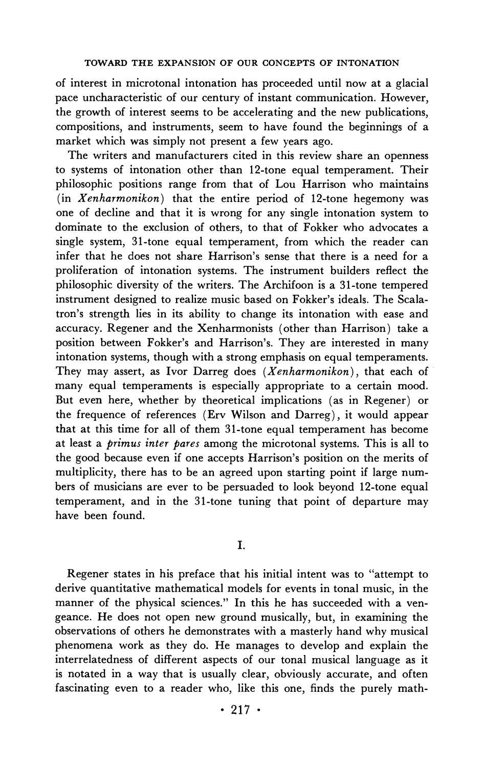**of interest in microtonal intonation has proceeded until now at a glacial pace uncharacteristic of our century of instant communication. However, the growth of interest seems to be accelerating and the new publications, compositions, and instruments, seem to have found the beginnings of a market which was simply not present a few years ago.** 

**The writers and manufacturers cited in this review share an openness to systems of intonation other than 12-tone equal temperament. Their philosophic positions range from that of Lou Harrison who maintains (in Xenharmonikon) that the entire period of 12-tone hegemony was one of decline and that it is wrong for any single intonation system to dominate to the exclusion of others, to that of Fokker who advocates a single system, 31-tone equal temperament, from which the reader can infer that he does not share Harrison's sense that there is a need for a proliferation of intonation systems. The instrument builders reflect the philosophic diversity of the writers. The Archifoon is a 31-tone tempered instrument designed to realize music based on Fokker's ideals. The Scalatron's strength lies in its ability to change its intonation with ease and accuracy. Regener and the Xenharmonists (other than Harrison) take a position between Fokker's and Harrison's. They are interested in many intonation systems, though with a strong emphasis on equal temperaments. They may assert, as Ivor Darreg does (Xenharmonikon), that each of many equal temperaments is especially appropriate to a certain mood. But even here, whether by theoretical implications (as in Regener) or the frequence of references (Erv Wilson and Darreg), it would appear that at this time for all of them 31-tone equal temperament has become at least a primus inter pares among the microtonal systems. This is all to the good because even if one accepts Harrison's position on the merits of multiplicity, there has to be an agreed upon starting point if large numbers of musicians are ever to be persuaded to look beyond 12-tone equal temperament, and in the 31-tone tuning that point of departure may have been found.** 

## **I.**

**Regener states in his preface that his initial intent was to "attempt to derive quantitative mathematical models for events in tonal music, in the manner of the physical sciences." In this he has succeeded with a vengeance. He does not open new ground musically, but, in examining the observations of others he demonstrates with a masterly hand why musical phenomena work as they do. He manages to develop and explain the interrelatedness of different aspects of our tonal musical language as it is notated in a way that is usually clear, obviously accurate, and often fascinating even to a reader who, like this one, finds the purely math-**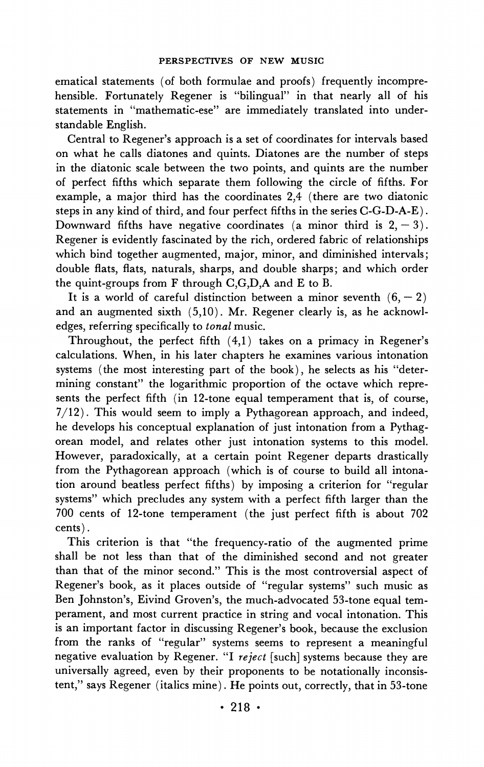**ematical statements (of both formulae and proofs) frequently incomprehensible. Fortunately Regener is "bilingual" in that nearly all of his statements in "mathematic-ese" are immediately translated into understandable English.** 

**Central to Regener's approach is a set of coordinates for intervals based on what he calls diatones and quints. Diatones are the number of steps in the diatonic scale between the two points, and quints are the number of perfect fifths which separate them following the circle of fifths. For example, a major third has the coordinates 2,4 (there are two diatonic steps in any kind of third, and four perfect fifths in the series C-G-D-A-E).**  Downward fifths have negative coordinates (a minor third is  $2, -3$ ). **Regener is evidently fascinated by the rich, ordered fabric of relationships which bind together augmented, major, minor, and diminished intervals; double flats, flats, naturals, sharps, and double sharps; and which order the quint-groups from F through C,G,D,A and E to B.** 

It is a world of careful distinction between a minor seventh  $(6, -2)$ **and an augmented sixth (5,10). Mr. Regener clearly is, as he acknowledges, referring specifically to tonal music.** 

**Throughout, the perfect fifth (4,1) takes on a primacy in Regener's calculations. When, in his later chapters he examines various intonation systems (the most interesting part of the book), he selects as his "determining constant" the logarithmic proportion of the octave which represents the perfect fifth (in 12-tone equal temperament that is, of course, 7/12). This would seem to imply a Pythagorean approach, and indeed, he develops his conceptual explanation of just intonation from a Pythagorean model, and relates other just intonation systems to this model. However, paradoxically, at a certain point Regener departs drastically from the Pythagorean approach (which is of course to build all intonation around beatless perfect fifths) by imposing a criterion for "regular systems" which precludes any system with a perfect fifth larger than the 700 cents of 12-tone temperament (the just perfect fifth is about 702 cents).** 

**This criterion is that "the frequency-ratio of the augmented prime shall be not less than that of the diminished second and not greater than that of the minor second." This is the most controversial aspect of Regener's book, as it places outside of "regular systems" such music as Ben Johnston's, Eivind Groven's, the much-advocated 53-tone equal temperament, and most current practice in string and vocal intonation. This is an important factor in discussing Regener's book, because the exclusion from the ranks of "regular" systems seems to represent a meaningful negative evaluation by Regener. "I reject [such] systems because they are universally agreed, even by their proponents to be notationally inconsistent," says Regener (italics mine). He points out, correctly, that in 53-tone**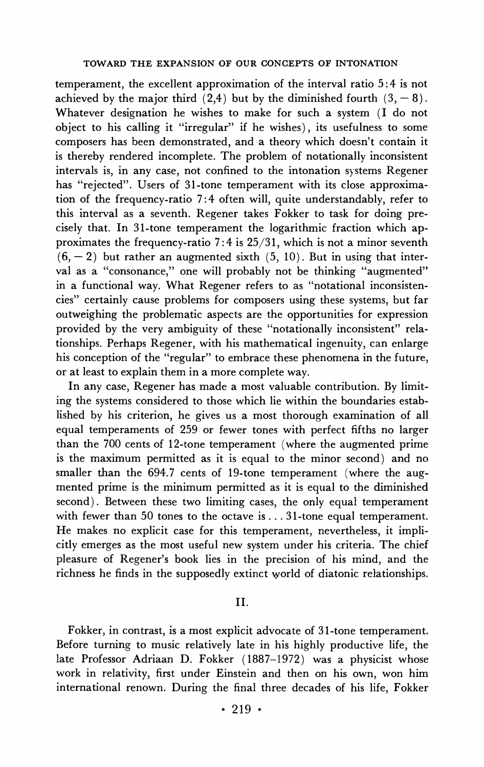**temperament, the excellent approximation of the interval ratio 5:4 is not**  achieved by the major third  $(2,4)$  but by the diminished fourth  $(3, -8)$ . **Whatever designation he wishes to make for such a system (I do not object to his calling it "irregular" if he wishes), its usefulness to some composers has been demonstrated, and a theory which doesn't contain it is thereby rendered incomplete. The problem of notationally inconsistent intervals is, in any case, not confined to the intonation systems Regener has "rejected". Users of 31-tone temperament with its close approximation of the frequency-ratio 7:4 often will, quite understandably, refer to this interval as a seventh. Regener takes Fokker to task for doing precisely that. In 31-tone temperament the logarithmic fraction which approximates the frequency-ratio 7:4 is 25/31, which is not a minor seventh**   $(6, -2)$  but rather an augmented sixth  $(5, 10)$ . But in using that inter**val as a "consonance," one will probably not be thinking "augmented" in a functional way. What Regener refers to as "notational inconsistencies" certainly cause problems for composers using these systems, but far outweighing the problematic aspects are the opportunities for expression provided by the very ambiguity of these "notationally inconsistent" relationships. Perhaps Regener, with his mathematical ingenuity, can enlarge his conception of the "regular" to embrace these phenomena in the future, or at least to explain them in a more complete way.** 

**In any case, Regener has made a most valuable contribution. By limiting the systems considered to those which lie within the boundaries established by his criterion, he gives us a most thorough examination of all equal temperaments of 259 or fewer tones with perfect fifths no larger than the 700 cents of 12-tone temperament (where the augmented prime is the maximum permitted as it is equal to the minor second) and no smaller than the 694.7 cents of 19-tone temperament (where the augmented prime is the minimum permitted as it is equal to the diminished second). Between these two limiting cases, the only equal temperament with fewer than 50 tones to the octave is... 31-tone equal temperament. He makes no explicit case for this temperament, nevertheless, it implicitly emerges as the most useful new system under his criteria. The chief pleasure of Regener's book lies in the precision of his mind, and the richness he finds in the supposedly extinct world of diatonic relationships.** 

#### **II.**

**Fokker, in contrast, is a most explicit advocate of 31-tone temperament. Before turning to music relatively late in his highly productive life, the late Professor Adriaan D. Fokker (1887-1972) was a physicist whose work in relativity, first under Einstein and then on his own, won him international renown. During the final three decades of his life, Fokker**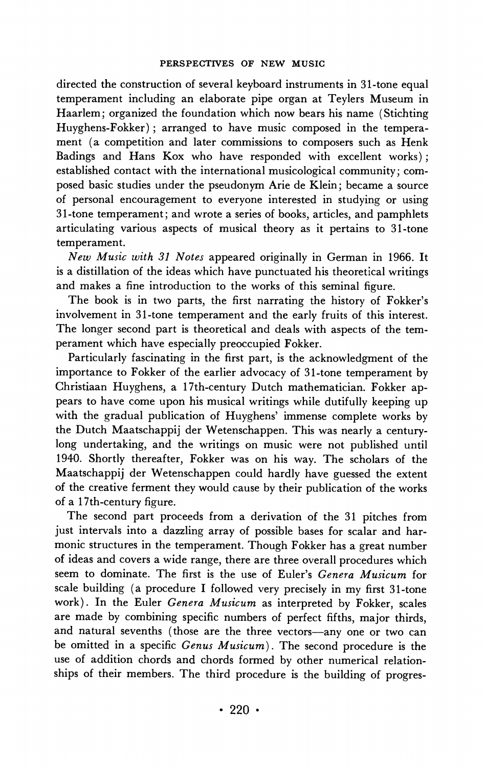**directed the construction of several keyboard instruments in 31-tone equal temperament including an elaborate pipe organ at Teylers Museum in Haarlem; organized the foundation which now bears his name (Stichting Huyghens-Fokker); arranged to have music composed in the temperament (a competition and later commissions to composers such as Henk Badings and Hans Kox who have responded with excellent works); established contact with the international musicological community; composed basic studies under the pseudonym Arie de Klein; became a source of personal encouragement to everyone interested in studying or using 31-tone temperament; and wrote a series of books, articles, and pamphlets articulating various aspects of musical theory as it pertains to 31-tone temperament.** 

**New Music with 31 Notes appeared originally in German in 1966. It is a distillation of the ideas which have punctuated his theoretical writings and makes a fine introduction to the works of this seminal figure.** 

**The book is in two parts, the first narrating the history of Fokker's involvement in 31-tone temperament and the early fruits of this interest. The longer second part is theoretical and deals with aspects of the temperament which have especially preoccupied Fokker.** 

**Particularly fascinating in the first part, is the acknowledgment of the importance to Fokker of the earlier advocacy of 31-tone temperament by Christiaan Huyghens, a 17th-century Dutch mathematician. Fokker appears to have come upon his musical writings while dutifully keeping up**  with the gradual publication of Huyghens' immense complete works by **the Dutch Maatschappij der Wetenschappen. This was nearly a centurylong undertaking, and the writings on music were not published until 1940. Shortly thereafter, Fokker was on his way. The scholars of the Maatschappij der Wetenschappen could hardly have guessed the extent of the creative ferment they would cause by their publication of the works of a 17th-century figure.** 

**The second part proceeds from a derivation of the 31 pitches from just intervals into a dazzling array of possible bases for scalar and harmonic structures in the temperament. Though Fokker has a great number of ideas and covers a wide range, there are three overall procedures which seem to dominate. The first is the use of Euler's Genera Musicum for scale building (a procedure I followed very precisely in my first 31-tone work). In the Euler Genera Musicum as interpreted by Fokker, scales are made by combining specific numbers of perfect fifths, major thirds, and natural sevenths (those are the three vectors-any one or two can be omitted in a specific Genus Musicum). The second procedure is the use of addition chords and chords formed by other numerical relationships of their members. The third procedure is the building of progres-**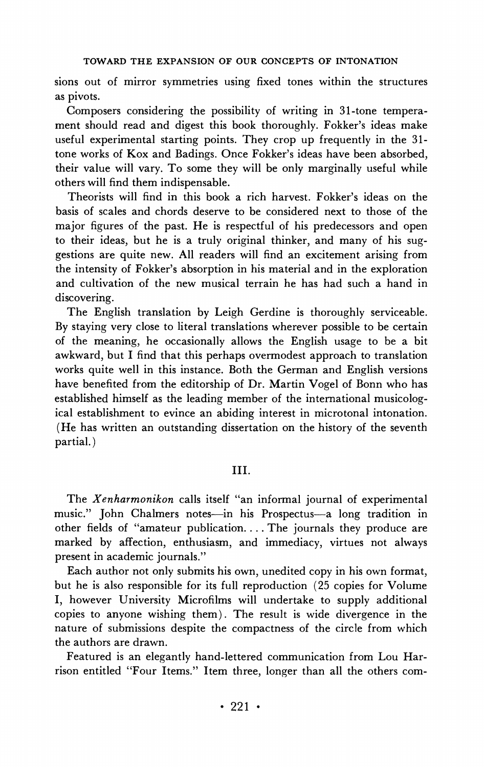**sions out of mirror symmetries using fixed tones within the structures as pivots.** 

**Composers considering the possibility of writing in 31-tone temperament should read and digest this book thoroughly. Fokker's ideas make useful experimental starting points. They crop up frequently in the 31 tone works of Kox and Badings. Once Fokker's ideas have been absorbed, their value will vary. To some they will be only marginally useful while others will find them indispensable.** 

**Theorists will find in this book a rich harvest. Fokker's ideas on the basis of scales and chords deserve to be considered next to those of the major figures of the past. He is respectful of his predecessors and open to their ideas, but he is a truly original thinker, and many of his suggestions are quite new. All readers will find an excitement arising from the intensity of Fokker's absorption in his material and in the exploration and cultivation of the new musical terrain he has had such a hand in discovering.** 

**The English translation by Leigh Gerdine is thoroughly serviceable. By staying very close to literal translations wherever possible to be certain of the meaning, he occasionally allows the English usage to be a bit awkward, but I find that this perhaps overmodest approach to translation works quite well in this instance. Both the German and English versions have benefited from the editorship of Dr. Martin Vogel of Bonn who has established himself as the leading member of the international musicological establishment to evince an abiding interest in microtonal intonation. (He has written an outstanding dissertation on the history of the seventh partial.)** 

## **III.**

**The Xenharmonikon calls itself "an informal journal of experimental**  music." John Chalmers notes—in his Prospectus—a long tradition in **other fields of "amateur publication.... The journals they produce are marked by affection, enthusiasm, and immediacy, virtues not always present in academic journals."** 

**Each author not only submits his own, unedited copy in his own format, but he is also responsible for its full reproduction (25 copies for Volume I, however University Microfilms will undertake to supply additional copies to anyone wishing them). The result is wide divergence in the nature of submissions despite the compactness of the circle from which the authors are drawn.** 

**Featured is an elegantly hand-lettered communication from Lou Harrison entitled "Four Items." Item three, longer than all the others com-**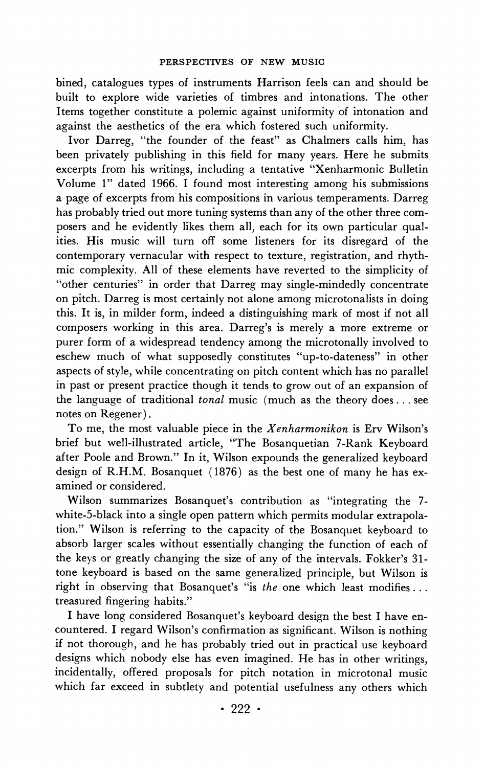**bined, catalogues types of instruments Harrison feels can and should be built to explore wide varieties of timbres and intonations. The other Items together constitute a polemic against uniformity of intonation and against the aesthetics of the era which fostered such uniformity.** 

**Ivor Darreg, "the founder of the feast" as Chalmers calls him, has been privately publishing in this field for many years. Here he submits excerpts from his writings, including a tentative "Xenharmonic Bulletin Volume 1" dated 1966. I found most interesting among his submissions a page of excerpts from his compositions in various temperaments. Darreg has probably tried out more tuning systems than any of the other three composers and he evidently likes them all, each for its own particular qualities. His music will turn off some listeners for its disregard of the contemporary vernacular with respect to texture, registration, and rhythmic complexity. All of these elements have reverted to the simplicity of "other centuries" in order that Darreg may single-mindedly concentrate on pitch. Darreg is most certainly not alone among microtonalists in doing this. It is, in milder form, indeed a distinguishing mark of most if not all composers working in this area. Darreg's is merely a more extreme or purer form of a widespread tendency among the microtonally involved to eschew much of what supposedly constitutes "up-to-dateness" in other aspects of style, while concentrating on pitch content which has no parallel in past or present practice though it tends to grow out of an expansion of the language of traditional tonal music (much as the theory does... see notes on Regener).** 

**To me, the most valuable piece in the Xenharmonikon is Erv Wilson's brief but well-illustrated article, "The Bosanquetian 7-Rank Keyboard after Poole and Brown." In it, Wilson expounds the generalized keyboard design of R.H.M. Bosanquet (1876) as the best one of many he has examined or considered.** 

**Wilson summarizes Bosanquet's contribution as "integrating the 7 white-5-black into a single open pattern which permits modular extrapolation." Wilson is referring to the capacity of the Bosanquet keyboard to absorb larger scales without essentially changing the function of each of the keys or greatly changing the size of any of the intervals. Fokker's 31 tone keyboard is based on the same generalized principle, but Wilson is right in observing that Bosanquet's "is the one which least modifies... treasured fingering habits."** 

**I have long considered Bosanquet's keyboard design the best I have encountered. I regard Wilson's confirmation as significant. Wilson is nothing if not thorough, and he has probably tried out in practical use keyboard designs which nobody else has even imagined. He has in other writings, incidentally, offered proposals for pitch notation in microtonal music which far exceed in subtlety and potential usefulness any others which**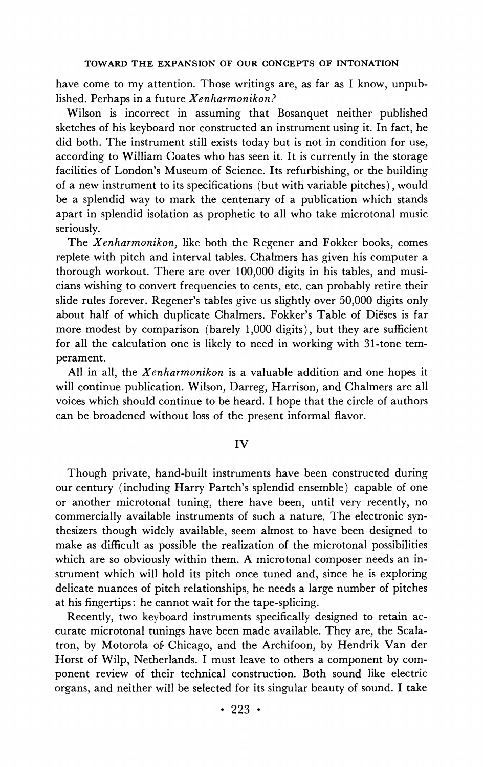**have come to my attention. Those writings are, as far as I know, unpublished. Perhaps in a future Xenharmonikon?** 

**Wilson is incorrect in assuming that Bosanquet neither published sketches of his keyboard nor constructed an instrument using it. In fact, he did both. The instrument still exists today but is not in condition for use, according to William Coates who has seen it. It is currently in the storage facilities of London's Museum of Science. Its refurbishing, or the building of a new instrument to its specifications (but with variable pitches), would be a splendid way to mark the centenary of a publication which stands apart in splendid isolation as prophetic to all who take microtonal music seriously.** 

**The Xenharmonikon, like both the Regener and Fokker books, comes replete with pitch and interval tables. Chalmers has given his computer a thorough workout. There are over 100,000 digits in his tables, and musicians wishing to convert frequencies to cents, etc. can probably retire their slide rules forever. Regener's tables give us slightly over 50,000 digits only about half of which duplicate Chalmers. Fokker's Table of Dieses is far more modest by comparison (barely 1,000 digits), but they are sufficient for all the calculation one is likely to need in working with 31-tone temperament.** 

**All in all, the Xenharmonikon is a valuable addition and one hopes it will continue publication. Wilson, Darreg, Harrison, and Chalmers are all voices which should continue to be heard. I hope that the circle of authors can be broadened without loss of the present informal flavor.** 

#### **IV**

**Though private, hand-built instruments have been constructed during our century (including Harry Partch's splendid ensemble) capable of one or another microtonal tuning, there have been, until very recently, no commercially available instruments of such a nature. The electronic synthesizers though widely available, seem almost to have been designed to make as difficult as possible the realization of the microtonal possibilities which are so obviously within them. A microtonal composer needs an instrument which will hold its pitch once tuned and, since he is exploring delicate nuances of pitch relationships, he needs a large number of pitches at his fingertips: he cannot wait for the tape-splicing.** 

**Recently, two keyboard instruments specifically designed to retain accurate microtonal tunings have been made available. They are, the Scalatron, by Motorola of, Chicago, and the Archifoon, by Hendrik Van der Horst of Wilp, Netherlands. I must leave to others a component by component review of their technical construction. Both sound like electric organs, and neither will be selected for its singular beauty of sound. I take**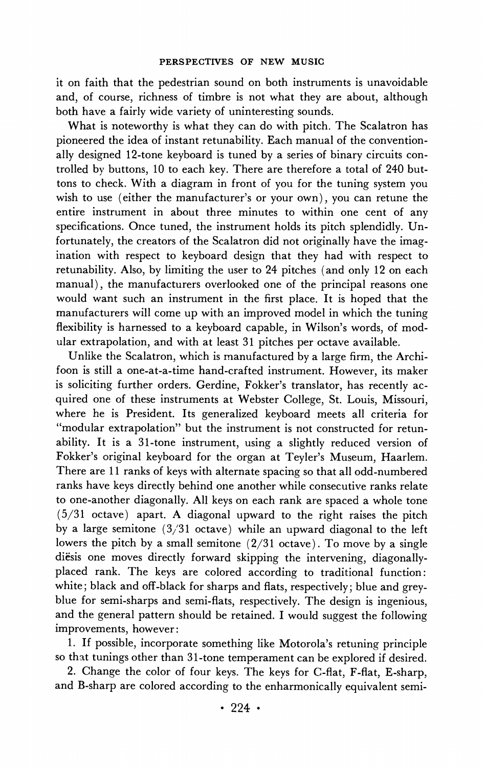**it on faith that the pedestrian sound on both instruments is unavoidable and, of course, richness of timbre is not what they are about, although both have a fairly wide variety of uninteresting sounds.** 

**What is noteworthy is what they can do with pitch. The Scalatron has pioneered the idea of instant retunability. Each manual of the conventionally designed 12-tone keyboard is tuned by a series of binary circuits controlled by buttons, 10 to each key. There are therefore a total of 240 buttons to check. With a diagram in front of you for the tuning system you wish to use (either the manufacturer's or your own), you can retune the entire instrument in about three minutes to within one cent of any specifications. Once tuned, the instrument holds its pitch splendidly. Unfortunately, the creators of the Scalatron did not originally have the imagination with respect to keyboard design that they had with respect to retunability. Also, by limiting the user to 24 pitches (and only 12 on each manual), the manufacturers overlooked one of the principal reasons one would want such an instrument in the first place. It is hoped that the manufacturers will come up with an improved model in which the tuning flexibility is harnessed to a keyboard capable, in Wilson's words, of modular extrapolation, and with at least 31 pitches per octave available.** 

**Unlike the Scalatron, which is manufactured by a large firm, the Archifoon is still a one-at-a-time hand-crafted instrument. However, its maker is soliciting further orders. Gerdine, Fokker's translator, has recently acquired one of these instruments at Webster College, St. Louis, Missouri, where he is President. Its generalized keyboard meets all criteria for "modular extrapolation" but the instrument is not constructed for retunability. It is a 31-tone instrument, using a slightly reduced version of Fokker's original keyboard for the organ at Teyler's Museum, Haarlem. There are 11 ranks of keys with alternate spacing so that all odd-numbered ranks have keys directly behind one another while consecutive ranks relate to one-another diagonally. All keys on each rank are spaced a whole tone (5/31 octave) apart. A diagonal upward to the right raises the pitch by a large semitone (3'31 octave) while an upward diagonal to the left lowers the pitch by a small semitone (2/31 octave). To move by a single diesis one moves directly forward skipping the intervening, diagonallyplaced rank. The keys are colored according to traditional function: white; black and off-black for sharps and flats, respectively; blue and greyblue for semi-sharps and semi-flats, respectively. The design is ingenious, and the general pattern should be retained. I would suggest the following improvements, however:** 

**1. If possible, incorporate something like Motorola's retuning principle so that tunings other than 31-tone temperament can be explored if desired.** 

**2. Change the color of four keys. The keys for C-flat, F-flat, E-sharp, and B-sharp are colored according to the enharmonically equivalent semi-**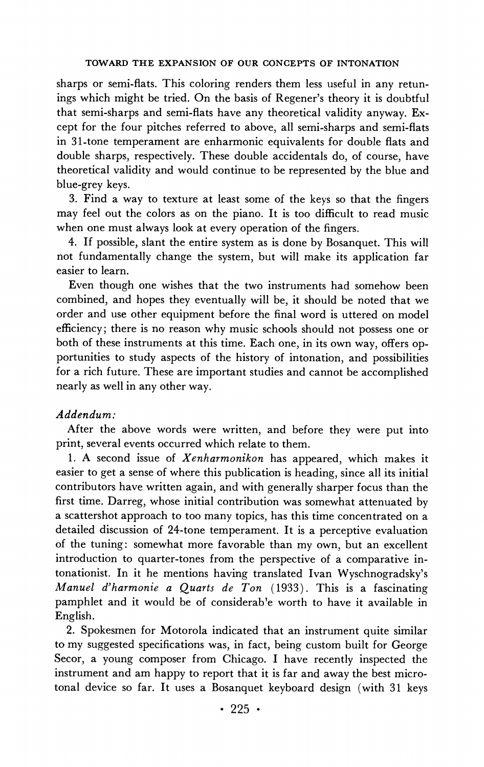**sharps or semi-flats. This coloring renders them less useful in any retunings which might be tried. On the basis of Regener's theory it is doubtful that semi-sharps and semi-flats have any theoretical validity anyway. Except for the four pitches referred to above, all semi-sharps and semi-flats in 31-tone temperament are enharmonic equivalents for double flats and double sharps, respectively. These double accidentals do, of course, have theoretical validity and would continue to be represented by the blue and blue-grey keys.** 

**3. Find a way to texture at least some of the keys so that the fingers may feel out the colors as on the piano. It is too difficult to read music when one must always look at every operation of the fingers.** 

**4. If possible, slant the entire system as is done by Bosanquet. This will not fundamentally change the system, but will make its application far easier to learn.** 

**Even though one wishes that the two instruments had somehow been combined, and hopes they eventually will be, it should be noted that we order and use other equipment before the final word is uttered on model efficiency; there is no reason why music schools should not possess one or both of these instruments at this time. Each one, in its own way, offers opportunities to study aspects of the history of intonation, and possibilities for a rich future. These are important studies and cannot be accomplished nearly as well in any other way.** 

### **Addendum:**

**After the above words were written, and before they were put into print, several events occurred which relate to them.** 

**1. A second issue of Xenharmonikon has appeared, which makes it easier to get a sense of where this publication is heading, since all its initial contributors have written again, and with generally sharper focus than the first time. Darreg, whose initial contribution was somewhat attenuated by a scattershot approach to too many topics, has this time concentrated on a detailed discussion of 24-tone temperament. It is a perceptive evaluation of the tuning: somewhat more favorable than my own, but an excellent introduction to quarter-tones from the perspective of a comparative intonationist. In it he mentions having translated Ivan Wyschnogradsky's Manuel d'harmonie a Quarts de Ton (1933). This is a fascinating**  pamphlet and it would be of considerable worth to have it available in **English.** 

**2. Spokesmen for Motorola indicated that an instrument quite similar to my suggested specifications was, in fact, being custom built for George Secor, a young composer from Chicago. I have recently inspected the instrument and am happy to report that it is far and away the best microtonal device so far. It uses a Bosanquet keyboard design (with 31 keys**